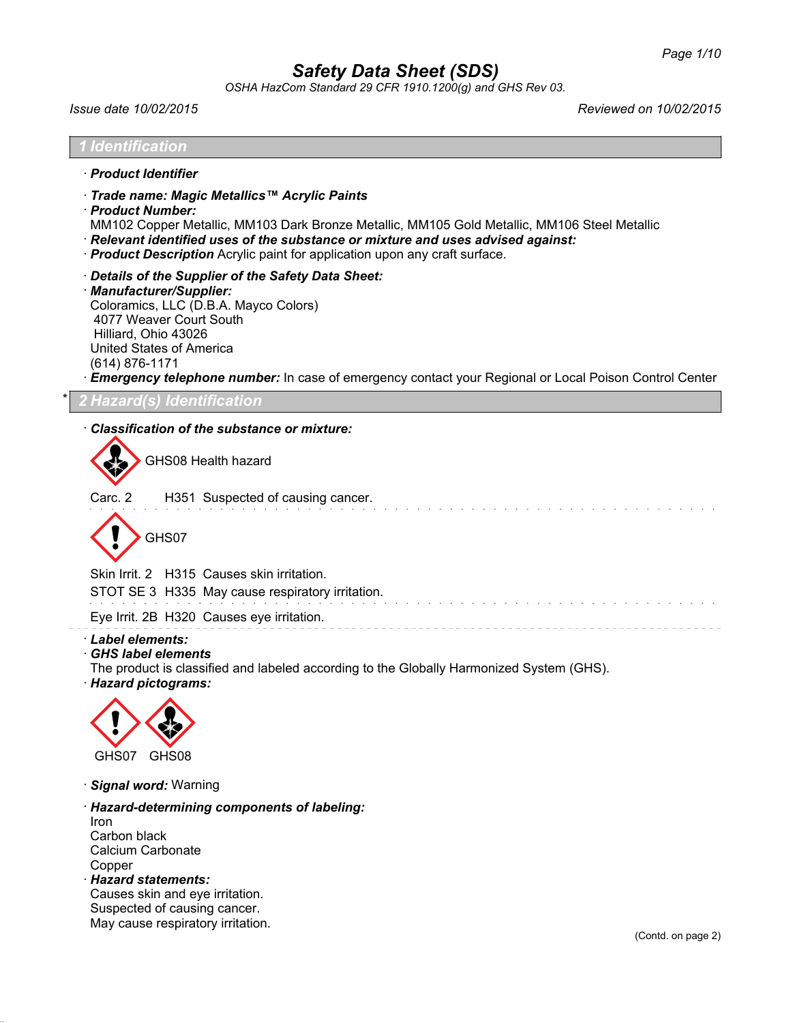*OSHA HazCom Standard 29 CFR 1910.1200(g) and GHS Rev 03.*

*Issue date 10/02/2015 Reviewed on 10/02/2015*

| <i>I Identification</i>                                                                                                                                                                                                                                                                                                               |
|---------------------------------------------------------------------------------------------------------------------------------------------------------------------------------------------------------------------------------------------------------------------------------------------------------------------------------------|
| · Product Identifier                                                                                                                                                                                                                                                                                                                  |
| · Trade name: Magic Metallics™ Acrylic Paints<br>· Product Number:<br>MM102 Copper Metallic, MM103 Dark Bronze Metallic, MM105 Gold Metallic, MM106 Steel Metallic<br>· Relevant identified uses of the substance or mixture and uses advised against:<br>· Product Description Acrylic paint for application upon any craft surface. |
| Details of the Supplier of the Safety Data Sheet:<br>· Manufacturer/Supplier:<br>Coloramics, LLC (D.B.A. Mayco Colors)<br>4077 Weaver Court South<br>Hilliard, Ohio 43026<br>United States of America<br>(614) 876-1171<br>Emergency telephone number: In case of emergency contact your Regional or Local Poison Control Center      |
| 2 Hazard(s) Identification                                                                                                                                                                                                                                                                                                            |
| Classification of the substance or mixture:<br>GHS08 Health hazard<br>Carc. 2<br>H351 Suspected of causing cancer.<br>GHS07<br>Skin Irrit. 2 H315 Causes skin irritation.                                                                                                                                                             |
| STOT SE 3 H335 May cause respiratory irritation.                                                                                                                                                                                                                                                                                      |
| Eye Irrit. 2B H320 Causes eye irritation.<br>· Label elements:<br><b>GHS label elements</b><br>The product is classified and labeled according to the Globally Harmonized System (GHS).<br>· Hazard pictograms:<br>GHS07 GHS08                                                                                                        |
| · Signal word: Warning                                                                                                                                                                                                                                                                                                                |

· *Hazard-determining components of labeling:* Iron Carbon black Calcium Carbonate Copper · *Hazard statements:*

Causes skin and eye irritation. Suspected of causing cancer. May cause respiratory irritation.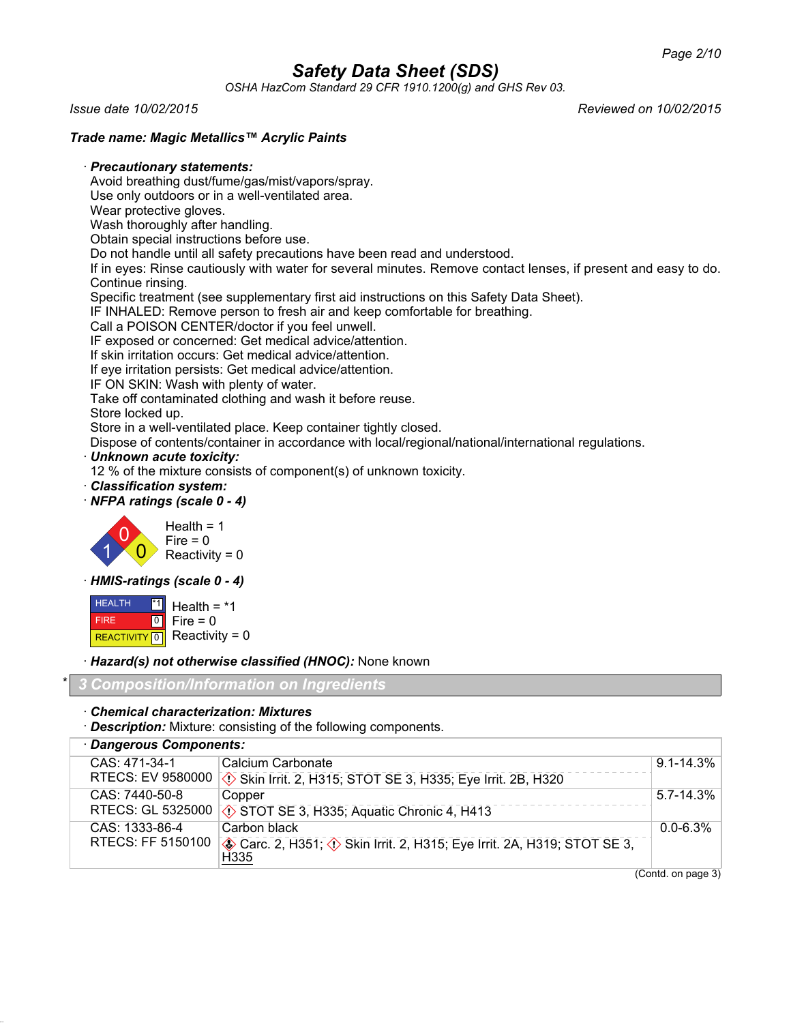*OSHA HazCom Standard 29 CFR 1910.1200(g) and GHS Rev 03.*

*Issue date 10/02/2015 Reviewed on 10/02/2015*

### *Trade name: Magic Metallics™ Acrylic Paints*

#### · *Precautionary statements:*

Avoid breathing dust/fume/gas/mist/vapors/spray.

Use only outdoors or in a well-ventilated area.

Wear protective gloves.

Wash thoroughly after handling.

Obtain special instructions before use.

Do not handle until all safety precautions have been read and understood.

If in eyes: Rinse cautiously with water for several minutes. Remove contact lenses, if present and easy to do. Continue rinsing.

Specific treatment (see supplementary first aid instructions on this Safety Data Sheet).

IF INHALED: Remove person to fresh air and keep comfortable for breathing.

Call a POISON CENTER/doctor if you feel unwell.

IF exposed or concerned: Get medical advice/attention.

If skin irritation occurs: Get medical advice/attention.

If eye irritation persists: Get medical advice/attention.

IF ON SKIN: Wash with plenty of water.

Take off contaminated clothing and wash it before reuse.

Store locked up.

Store in a well-ventilated place. Keep container tightly closed.

Dispose of contents/container in accordance with local/regional/national/international regulations.

· *Unknown acute toxicity:*

12 % of the mixture consists of component(s) of unknown toxicity.

· *Classification system:*

#### · *NFPA ratings (scale 0 - 4)*



· *HMIS-ratings (scale 0 - 4)*

 HEALTH FIRE REACTIVITY<sup>1</sup>0 \*1  $\overline{0}$ Health  $=$   $*1$ Fire  $= 0$ Reactivity =  $0$ 

· *Hazard(s) not otherwise classified (HNOC):* None known

\* *3 Composition/Information on Ingredients*

· *Chemical characterization: Mixtures*

· *Description:* Mixture: consisting of the following components.

· *Dangerous Components:* CAS: 471-34-1 RTECS: EV 9580000 Calcium Carbonate d~ Skin Irrit. 2, H315; STOT SE 3, H335; Eye Irrit. 2B, H320 9.1-14.3% CAS: 7440-50-8 RTECS: GL 5325000 Copper  $\Diamond$  STOT SE 3, H335; Aquatic Chronic 4, H413 5.7-14.3% CAS: 1333-86-4 RTECS: FF 5150100 Carbon black  $\diamondsuit$  Carc. 2, H351;  $\diamondsuit$  Skin Irrit. 2, H315; Eye Irrit. 2A, H319; STOT SE 3, H335 0.0-6.3%

(Contd. on page 3)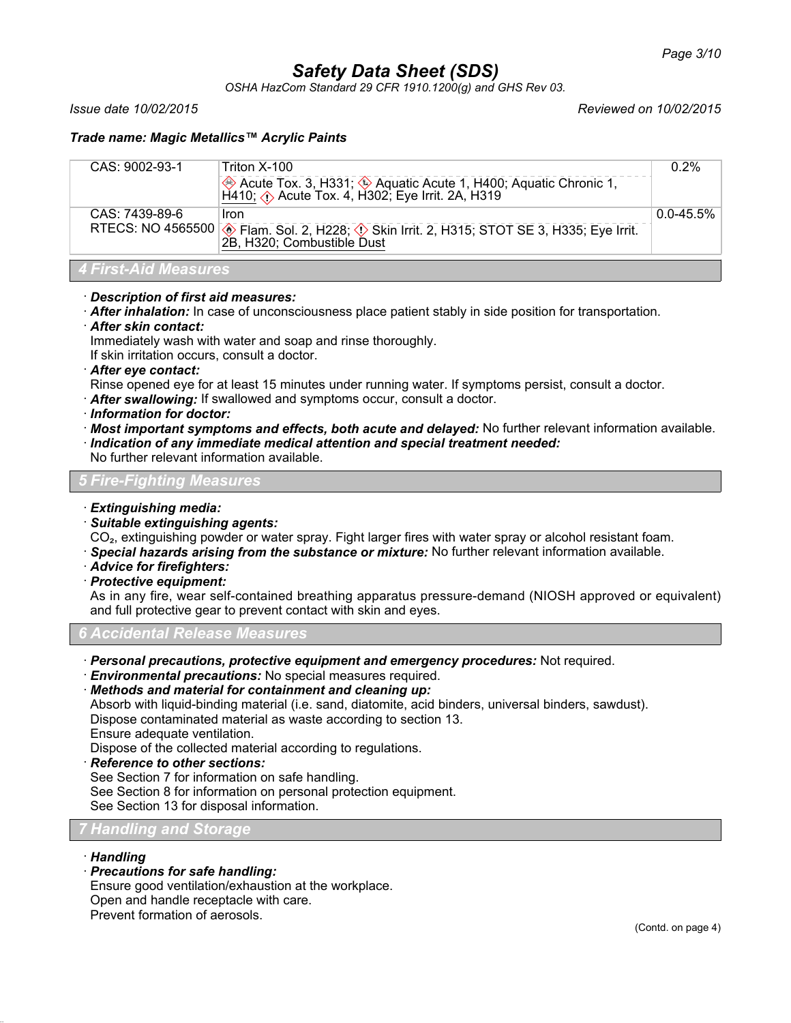*OSHA HazCom Standard 29 CFR 1910.1200(g) and GHS Rev 03.*

*Issue date 10/02/2015 Reviewed on 10/02/2015*

### *Trade name: Magic Metallics™ Acrylic Paints*

| CAS: 7439-89-6<br>Iron                                                                                                   | CAS: 9002-93-1 | Triton X-100<br>Acute Tox. 3, H331; 4 Aquatic Acute 1, H400; Aquatic Chronic 1,<br>H410; $\Diamond$ Acute Tox. 4, H302; Eye Irrit. 2A, H319 | $0.2\%$        |
|--------------------------------------------------------------------------------------------------------------------------|----------------|---------------------------------------------------------------------------------------------------------------------------------------------|----------------|
| RTECS: NO 4565500 . Flam. Sol. 2, H228; 1 Skin Irrit. 2, H315; STOT SE 3, H335; Eye Irrit.<br>2B, H320; Combustible Dust |                |                                                                                                                                             | $0.0 - 45.5\%$ |

# *4 First-Aid Measures*

- · *Description of first aid measures:*
- · *After inhalation:* In case of unconsciousness place patient stably in side position for transportation.
- · *After skin contact:*

Immediately wash with water and soap and rinse thoroughly.

If skin irritation occurs, consult a doctor.

· *After eye contact:*

Rinse opened eye for at least 15 minutes under running water. If symptoms persist, consult a doctor.

- · *After swallowing:* If swallowed and symptoms occur, consult a doctor.
- · *Information for doctor:*
- · *Most important symptoms and effects, both acute and delayed:* No further relevant information available.
- · *Indication of any immediate medical attention and special treatment needed:*

No further relevant information available.

#### *5 Fire-Fighting Measures*

- · *Extinguishing media:*
- · *Suitable extinguishing agents:*

CO<sub>2</sub>, extinguishing powder or water spray. Fight larger fires with water spray or alcohol resistant foam.

- · *Special hazards arising from the substance or mixture:* No further relevant information available.
- · *Advice for firefighters:*
- · *Protective equipment:*

As in any fire, wear self-contained breathing apparatus pressure-demand (NIOSH approved or equivalent) and full protective gear to prevent contact with skin and eyes.

*6 Accidental Release Measures*

- · *Personal precautions, protective equipment and emergency procedures:* Not required.
- · *Environmental precautions:* No special measures required.
- · *Methods and material for containment and cleaning up:*

Absorb with liquid-binding material (i.e. sand, diatomite, acid binders, universal binders, sawdust). Dispose contaminated material as waste according to section 13. Ensure adequate ventilation.

Dispose of the collected material according to regulations.

· *Reference to other sections:*

See Section 7 for information on safe handling.

See Section 8 for information on personal protection equipment.

See Section 13 for disposal information.

#### *7 Handling and Storage*

#### · *Handling*

· *Precautions for safe handling:*

Ensure good ventilation/exhaustion at the workplace.

Open and handle receptacle with care.

Prevent formation of aerosols.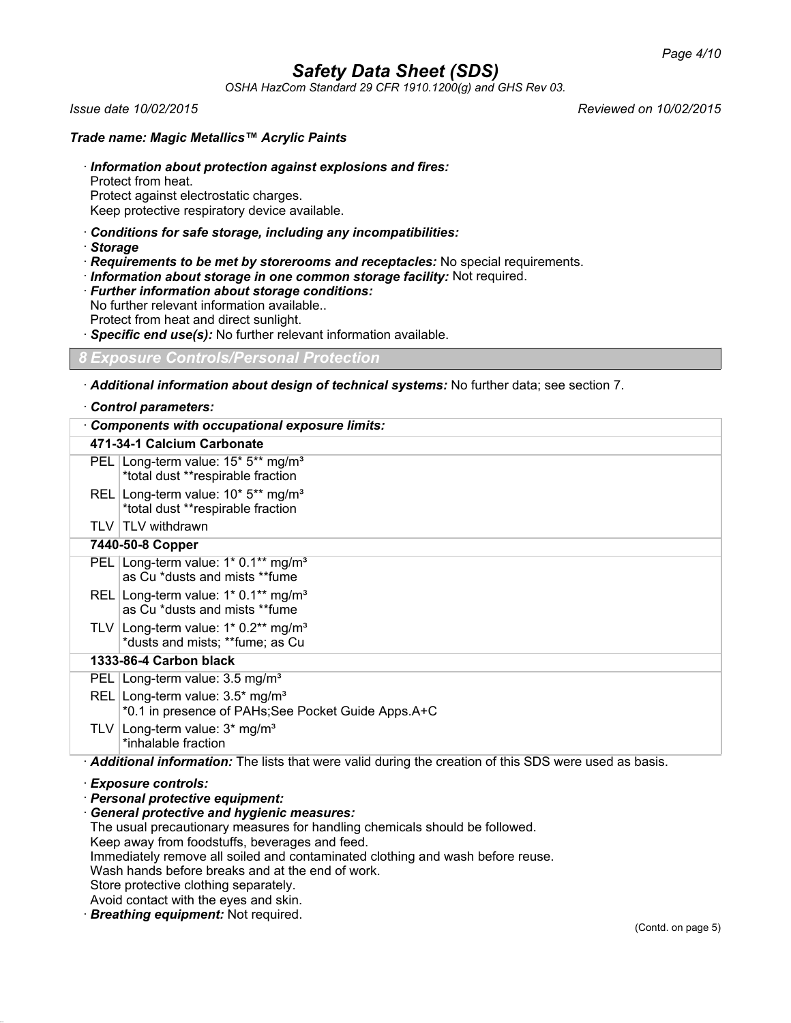*OSHA HazCom Standard 29 CFR 1910.1200(g) and GHS Rev 03.*

*Issue date 10/02/2015 Reviewed on 10/02/2015*

#### *Trade name: Magic Metallics™ Acrylic Paints*

- · *Information about protection against explosions and fires:* Protect from heat. Protect against electrostatic charges.
- Keep protective respiratory device available.
- · *Conditions for safe storage, including any incompatibilities:*
- · *Storage*
- · *Requirements to be met by storerooms and receptacles:* No special requirements.
- · *Information about storage in one common storage facility:* Not required.
- · *Further information about storage conditions:*
- No further relevant information available.. Protect from heat and direct sunlight.
- · *Specific end use(s):* No further relevant information available.
- *8 Exposure Controls/Personal Protection*
- · *Additional information about design of technical systems:* No further data; see section 7.

#### · *Control parameters:*

| <b>Components with occupational exposure limits:</b>                                                   |  |
|--------------------------------------------------------------------------------------------------------|--|
| 471-34-1 Calcium Carbonate                                                                             |  |
| PEL Long-term value: 15* 5** mg/m <sup>3</sup><br>*total dust **respirable fraction                    |  |
| REL Long-term value: 10* 5** mg/m <sup>3</sup><br>*total dust **respirable fraction                    |  |
| TLV TLV withdrawn                                                                                      |  |
| 7440-50-8 Copper                                                                                       |  |
| PEL   Long-term value: $1*$ 0.1** mg/m <sup>3</sup><br>as Cu *dusts and mists **fume                   |  |
| REL Long-term value: $1*$ 0.1** mg/m <sup>3</sup><br>as Cu *dusts and mists **fume                     |  |
| TLV Long-term value: $1*0.2**$ mg/m <sup>3</sup><br>*dusts and mists; **fume; as Cu                    |  |
| 1333-86-4 Carbon black                                                                                 |  |
| PEL   Long-term value: 3.5 mg/m <sup>3</sup>                                                           |  |
| REL Long-term value: $3.5^*$ mg/m <sup>3</sup><br>*0.1 in presence of PAHs; See Pocket Guide Apps. A+C |  |
| TLV   Long-term value: $3*$ mg/m <sup>3</sup><br>*inhalable fraction                                   |  |
| Additional information: The lists that were valid during the creation of this SDS were used as basis.  |  |
| · Exposure controls:                                                                                   |  |

· *Personal protective equipment:*

· *General protective and hygienic measures:* The usual precautionary measures for handling chemicals should be followed. Keep away from foodstuffs, beverages and feed. Immediately remove all soiled and contaminated clothing and wash before reuse. Wash hands before breaks and at the end of work. Store protective clothing separately. Avoid contact with the eyes and skin.

· *Breathing equipment:* Not required.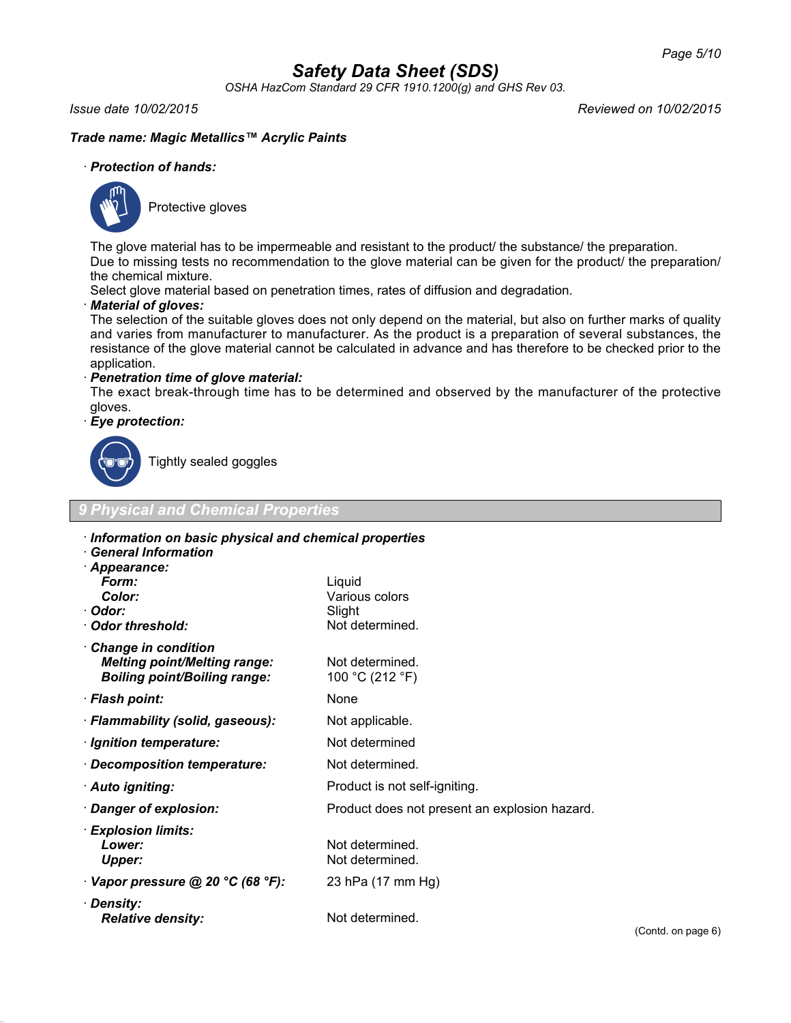*OSHA HazCom Standard 29 CFR 1910.1200(g) and GHS Rev 03.*

*Issue date 10/02/2015 Reviewed on 10/02/2015*

### *Trade name: Magic Metallics™ Acrylic Paints*

#### · *Protection of hands:*



Protective gloves

The glove material has to be impermeable and resistant to the product/ the substance/ the preparation. Due to missing tests no recommendation to the glove material can be given for the product/ the preparation/ the chemical mixture.

Select glove material based on penetration times, rates of diffusion and degradation.

#### · *Material of gloves:*

The selection of the suitable gloves does not only depend on the material, but also on further marks of quality and varies from manufacturer to manufacturer. As the product is a preparation of several substances, the resistance of the glove material cannot be calculated in advance and has therefore to be checked prior to the application.

#### · *Penetration time of glove material:*

The exact break-through time has to be determined and observed by the manufacturer of the protective gloves.

### · *Eye protection:*



Tightly sealed goggles

*Relative density:* Not determined.

| <b>9 Physical and Chemical Properties</b>                                                         |                                                       |  |  |
|---------------------------------------------------------------------------------------------------|-------------------------------------------------------|--|--|
| <b>General Information</b><br>· Appearance:                                                       | Information on basic physical and chemical properties |  |  |
| Form:                                                                                             | Liguid                                                |  |  |
| Color:<br>· Odor:                                                                                 | Various colors                                        |  |  |
| Odor threshold:                                                                                   | Slight<br>Not determined.                             |  |  |
|                                                                                                   |                                                       |  |  |
| Change in condition<br><b>Melting point/Melting range:</b><br><b>Boiling point/Boiling range:</b> | Not determined.<br>100 °C (212 °F)                    |  |  |
| · Flash point:                                                                                    | None                                                  |  |  |
| · Flammability (solid, gaseous):                                                                  | Not applicable.                                       |  |  |
| · Ignition temperature:                                                                           | Not determined                                        |  |  |
| · Decomposition temperature:                                                                      | Not determined.                                       |  |  |
| · Auto igniting:                                                                                  | Product is not self-igniting.                         |  |  |
| · Danger of explosion:                                                                            | Product does not present an explosion hazard.         |  |  |
| · Explosion limits:<br>Lower:<br>Upper:                                                           | Not determined.<br>Not determined.                    |  |  |
| $\cdot$ Vapor pressure @ 20 °C (68 °F):                                                           | 23 hPa (17 mm Hg)                                     |  |  |
| · Density:                                                                                        |                                                       |  |  |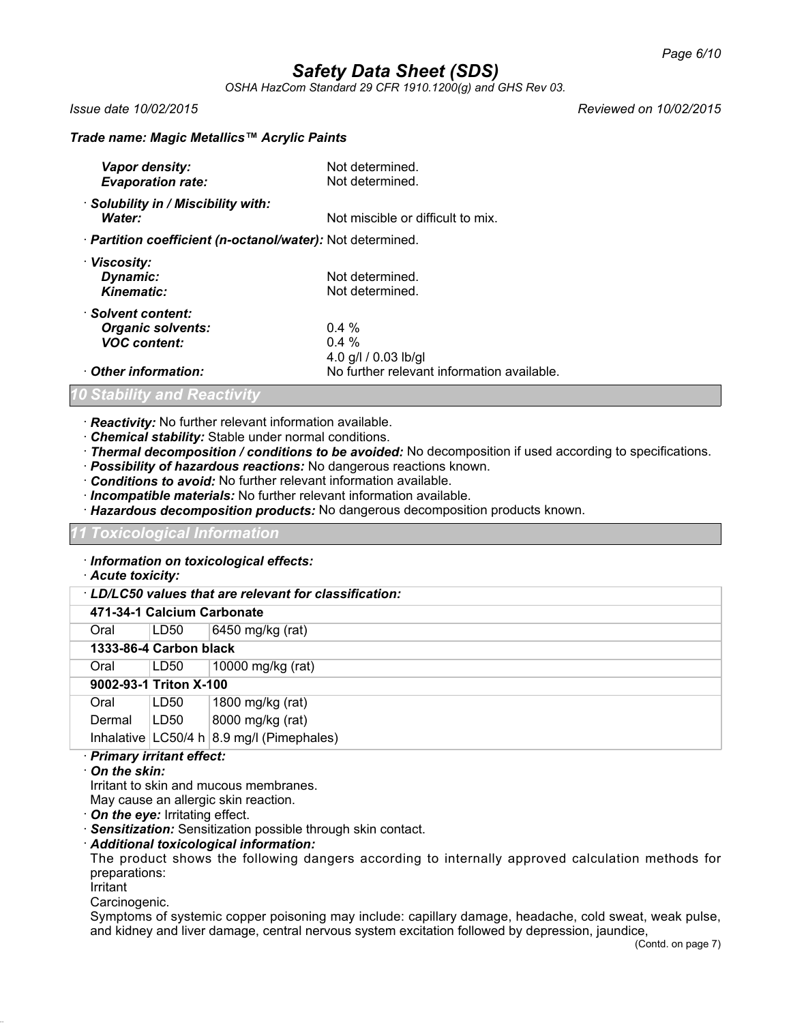*OSHA HazCom Standard 29 CFR 1910.1200(g) and GHS Rev 03.*

*Issue date 10/02/2015 Reviewed on 10/02/2015*

#### *Trade name: Magic Metallics™ Acrylic Paints*

| Vapor density:<br><b>Evaporation rate:</b>                            | Not determined.<br>Not determined.          |
|-----------------------------------------------------------------------|---------------------------------------------|
| · Solubility in / Miscibility with:<br>Water:                         | Not miscible or difficult to mix.           |
| · Partition coefficient (n-octanol/water): Not determined.            |                                             |
| · Viscosity:<br>Dynamic:<br><b>Kinematic:</b>                         | Not determined.<br>Not determined.          |
| · Solvent content:<br><b>Organic solvents:</b><br><b>VOC content:</b> | $0.4\%$<br>$0.4 \%$<br>4.0 g/l / 0.03 lb/gl |
| $\cdot$ Other information:                                            | No further relevant information available.  |

*Stability and Reactivity* 

- · *Reactivity:* No further relevant information available.
- · *Chemical stability:* Stable under normal conditions.
- · *Thermal decomposition / conditions to be avoided:* No decomposition if used according to specifications.
- · *Possibility of hazardous reactions:* No dangerous reactions known.
- · *Conditions to avoid:* No further relevant information available.
- · *Incompatible materials:* No further relevant information available.
- · *Hazardous decomposition products:* No dangerous decomposition products known.

*11 Toxicological Information*

· *Information on toxicological effects:*

#### · *Acute toxicity:*

#### · *LD/LC50 values that are relevant for classification:*

### **471-34-1 Calcium Carbonate**

Oral LD50 6450 mg/kg (rat)

#### **1333-86-4 Carbon black**

Oral LD50 10000 mg/kg (rat)

#### **9002-93-1 Triton X-100**

| Oral   | LD50 | 1800 mg/kg (rat)                          |
|--------|------|-------------------------------------------|
| Dermal | LD50 | 8000 mg/kg (rat)                          |
|        |      | Inhalative LC50/4 h 8.9 mg/l (Pimephales) |

#### · *Primary irritant effect:*

#### · *On the skin:*

Irritant to skin and mucous membranes.

May cause an allergic skin reaction.

- · *On the eye:* Irritating effect.
- · *Sensitization:* Sensitization possible through skin contact.
- · *Additional toxicological information:*

The product shows the following dangers according to internally approved calculation methods for preparations:

Irritant

Carcinogenic.

Symptoms of systemic copper poisoning may include: capillary damage, headache, cold sweat, weak pulse, and kidney and liver damage, central nervous system excitation followed by depression, jaundice,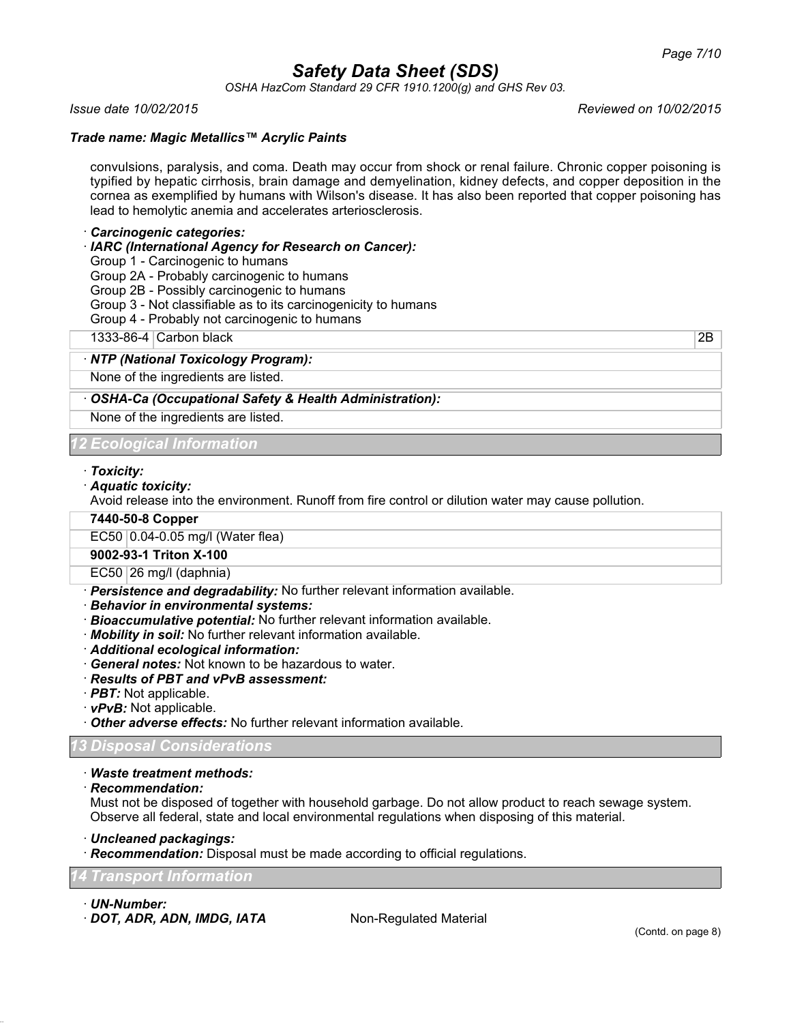*OSHA HazCom Standard 29 CFR 1910.1200(g) and GHS Rev 03.*

#### *Trade name: Magic Metallics™ Acrylic Paints*

convulsions, paralysis, and coma. Death may occur from shock or renal failure. Chronic copper poisoning is typified by hepatic cirrhosis, brain damage and demyelination, kidney defects, and copper deposition in the cornea as exemplified by humans with Wilson's disease. It has also been reported that copper poisoning has lead to hemolytic anemia and accelerates arteriosclerosis.

#### · *Carcinogenic categories:*

· *IARC (International Agency for Research on Cancer):*

Group 1 - Carcinogenic to humans

Group 2A - Probably carcinogenic to humans

Group 2B - Possibly carcinogenic to humans

Group 3 - Not classifiable as to its carcinogenicity to humans

Group 4 - Probably not carcinogenic to humans

1333-86-4 Carbon black 2B

#### · *NTP (National Toxicology Program):*

None of the ingredients are listed.

### · *OSHA-Ca (Occupational Safety & Health Administration):*

None of the ingredients are listed.

*12 Ecological Information*

#### · *Toxicity:*

· *Aquatic toxicity:*

Avoid release into the environment. Runoff from fire control or dilution water may cause pollution.

#### **7440-50-8 Copper**

EC50 0.04-0.05 mg/l (Water flea)

#### **9002-93-1 Triton X-100**

 $EC50$  26 mg/l (daphnia)

- · *Persistence and degradability:* No further relevant information available.
- · *Behavior in environmental systems:*
- · *Bioaccumulative potential:* No further relevant information available.
- · *Mobility in soil:* No further relevant information available.
- · *Additional ecological information:*
- · *General notes:* Not known to be hazardous to water.
- · *Results of PBT and vPvB assessment:*
- · *PBT:* Not applicable.
- · *vPvB:* Not applicable.
- · *Other adverse effects:* No further relevant information available.

#### *13 Disposal Considerations*

- · *Waste treatment methods:*
- · *Recommendation:*

Must not be disposed of together with household garbage. Do not allow product to reach sewage system. Observe all federal, state and local environmental regulations when disposing of this material.

· *Uncleaned packagings:*

· *Recommendation:* Disposal must be made according to official regulations.

#### *14 Transport Information*

· *UN-Number:*

· **DOT, ADR, ADN, IMDG, IATA** Non-Regulated Material

*Issue date 10/02/2015 Reviewed on 10/02/2015*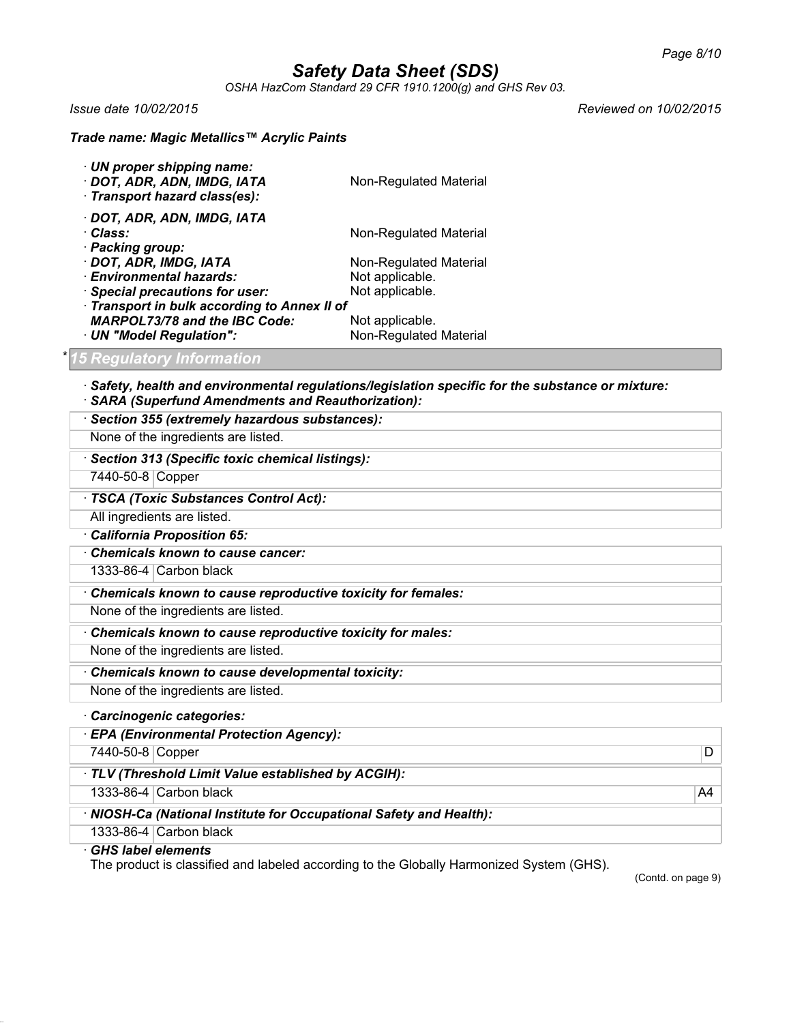*OSHA HazCom Standard 29 CFR 1910.1200(g) and GHS Rev 03.*

*Issue date 10/02/2015 Reviewed on 10/02/2015*

### *Trade name: Magic Metallics™ Acrylic Paints*

| · UN proper shipping name:<br>· DOT, ADR, ADN, IMDG, IATA<br>· Transport hazard class(es): | Non-Regulated Material |  |
|--------------------------------------------------------------------------------------------|------------------------|--|
| · DOT, ADR, ADN, IMDG, IATA                                                                |                        |  |
| · Class:                                                                                   | Non-Regulated Material |  |
| · Packing group:                                                                           |                        |  |
| · DOT, ADR, IMDG, IATA                                                                     | Non-Regulated Material |  |
| · Environmental hazards:                                                                   | Not applicable.        |  |
| · Special precautions for user:                                                            | Not applicable.        |  |
| · Transport in bulk according to Annex II of                                               |                        |  |
| <b>MARPOL73/78 and the IBC Code:</b>                                                       | Not applicable.        |  |
| · UN "Model Regulation":                                                                   | Non-Regulated Material |  |

### \* *15 Regulatory Information*

· *Safety, health and environmental regulations/legislation specific for the substance or mixture:* · *SARA (Superfund Amendments and Reauthorization):*

| · Section 355 (extremely hazardous substances):             |
|-------------------------------------------------------------|
| None of the ingredients are listed.                         |
| · Section 313 (Specific toxic chemical listings):           |
| 7440-50-8 Copper                                            |
| · TSCA (Toxic Substances Control Act):                      |
| All ingredients are listed.                                 |
| California Proposition 65:                                  |
| Chemicals known to cause cancer:                            |
| 1333-86-4 $\vert$ Carbon black                              |
| Chemicals known to cause reproductive toxicity for females: |
| None of the ingredients are listed.                         |
| Chemicals known to cause reproductive toxicity for males:   |
| None of the ingredients are listed.                         |
| Chemicals known to cause developmental toxicity:            |
| None of the ingredients are listed.                         |
| Carcinogenic categories:                                    |
| · EPA (Environmental Protection Agency):                    |

7440-50-8 Copper D · *TLV (Threshold Limit Value established by ACGIH):* 1333-86-4 Carbon black A4 · *NIOSH-Ca (National Institute for Occupational Safety and Health):* 1333-86-4 Carbon black

### · *GHS label elements*

The product is classified and labeled according to the Globally Harmonized System (GHS).

(Contd. on page 9)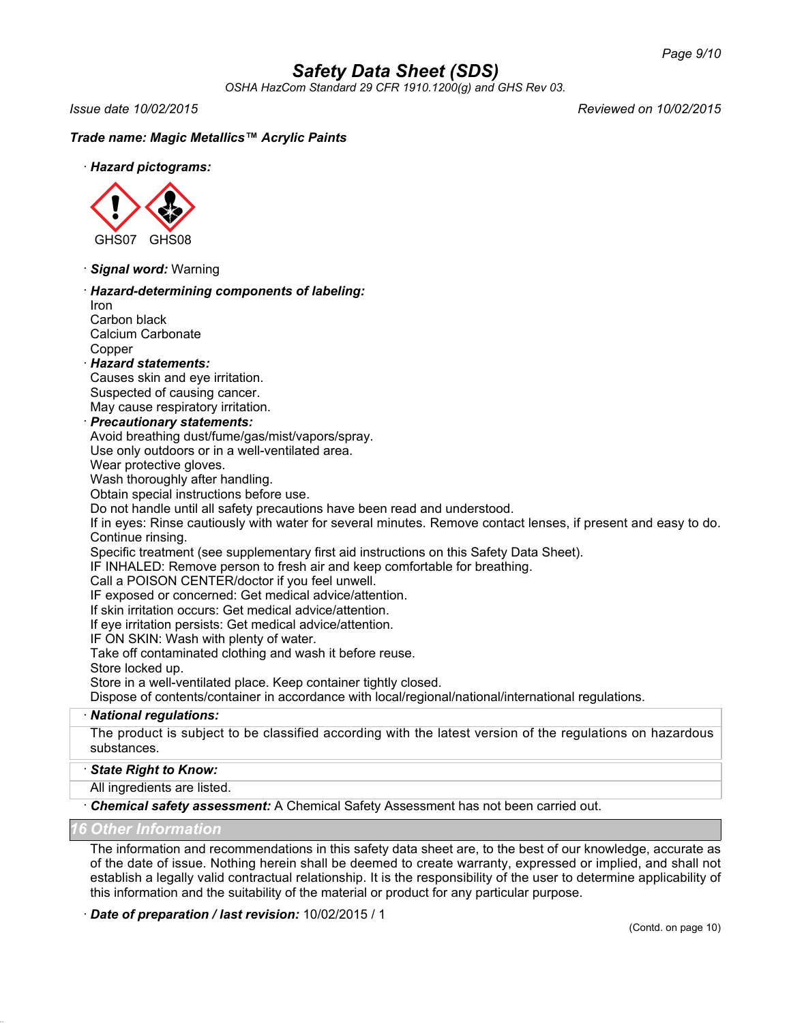*OSHA HazCom Standard 29 CFR 1910.1200(g) and GHS Rev 03.*

*Issue date 10/02/2015 Reviewed on 10/02/2015*

### *Trade name: Magic Metallics™ Acrylic Paints*

· *Hazard pictograms:*



· *Signal word:* Warning

### · *Hazard-determining components of labeling:*

Iron Carbon black Calcium Carbonate **Copper** 

#### · *Hazard statements:*

Causes skin and eye irritation. Suspected of causing cancer. May cause respiratory irritation.

#### · *Precautionary statements:*

Avoid breathing dust/fume/gas/mist/vapors/spray.

Use only outdoors or in a well-ventilated area.

Wear protective gloves.

Wash thoroughly after handling.

Obtain special instructions before use.

Do not handle until all safety precautions have been read and understood.

If in eyes: Rinse cautiously with water for several minutes. Remove contact lenses, if present and easy to do. Continue rinsing.

Specific treatment (see supplementary first aid instructions on this Safety Data Sheet).

IF INHALED: Remove person to fresh air and keep comfortable for breathing.

Call a POISON CENTER/doctor if you feel unwell.

IF exposed or concerned: Get medical advice/attention.

If skin irritation occurs: Get medical advice/attention.

If eye irritation persists: Get medical advice/attention.

IF ON SKIN: Wash with plenty of water.

Take off contaminated clothing and wash it before reuse.

Store locked up.

Store in a well-ventilated place. Keep container tightly closed.

Dispose of contents/container in accordance with local/regional/national/international regulations.

#### · *National regulations:*

The product is subject to be classified according with the latest version of the regulations on hazardous substances.

#### · *State Right to Know:*

All ingredients are listed.

· *Chemical safety assessment:* A Chemical Safety Assessment has not been carried out.

#### *16 Other Information*

The information and recommendations in this safety data sheet are, to the best of our knowledge, accurate as of the date of issue. Nothing herein shall be deemed to create warranty, expressed or implied, and shall not establish a legally valid contractual relationship. It is the responsibility of the user to determine applicability of this information and the suitability of the material or product for any particular purpose.

#### · *Date of preparation / last revision:* 10/02/2015 / 1